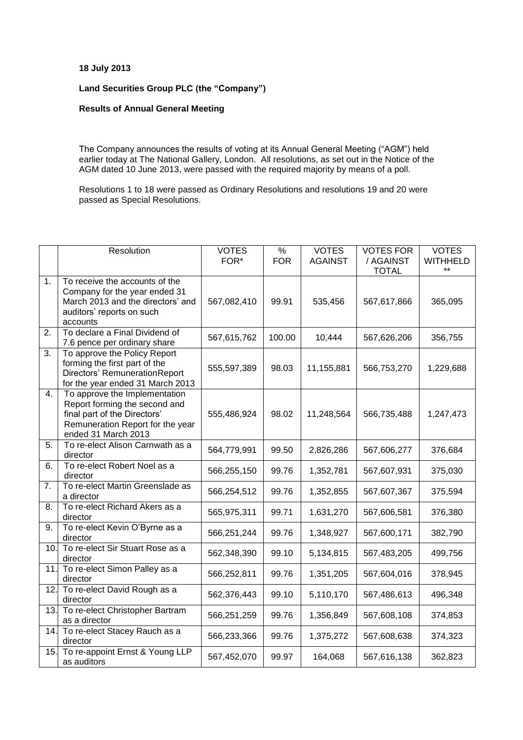## **18 July 2013**

## **Land Securities Group PLC (the "Company")**

## **Results of Annual General Meeting**

The Company announces the results of voting at its Annual General Meeting ("AGM") held earlier today at The National Gallery, London. All resolutions, as set out in the Notice of the AGM dated 10 June 2013, were passed with the required majority by means of a poll.

Resolutions 1 to 18 were passed as Ordinary Resolutions and resolutions 19 and 20 were passed as Special Resolutions.

|     | Resolution                                                                                                                                                | <b>VOTES</b> | $\frac{9}{6}$ | <b>VOTES</b>   | <b>VOTES FOR</b>          | <b>VOTES</b>             |
|-----|-----------------------------------------------------------------------------------------------------------------------------------------------------------|--------------|---------------|----------------|---------------------------|--------------------------|
|     |                                                                                                                                                           | FOR*         | <b>FOR</b>    | <b>AGAINST</b> | / AGAINST<br><b>TOTAL</b> | <b>WITHHELD</b><br>$***$ |
| 1.  | To receive the accounts of the<br>Company for the year ended 31<br>March 2013 and the directors' and<br>auditors' reports on such<br>accounts             | 567,082,410  | 99.91         | 535,456        | 567,617,866               | 365,095                  |
| 2.  | To declare a Final Dividend of<br>7.6 pence per ordinary share                                                                                            | 567,615,762  | 100.00        | 10,444         | 567,626,206               | 356,755                  |
| 3.  | To approve the Policy Report<br>forming the first part of the<br>Directors' Remuneration Report<br>for the year ended 31 March 2013                       | 555,597,389  | 98.03         | 11,155,881     | 566,753,270               | 1,229,688                |
| 4.  | To approve the Implementation<br>Report forming the second and<br>final part of the Directors'<br>Remuneration Report for the year<br>ended 31 March 2013 | 555,486,924  | 98.02         | 11,248,564     | 566,735,488               | 1,247,473                |
| 5.  | To re-elect Alison Carnwath as a<br>director                                                                                                              | 564,779,991  | 99.50         | 2,826,286      | 567,606,277               | 376,684                  |
| 6.  | To re-elect Robert Noel as a<br>director                                                                                                                  | 566,255,150  | 99.76         | 1,352,781      | 567,607,931               | 375,030                  |
| 7.  | To re-elect Martin Greenslade as<br>a director                                                                                                            | 566,254,512  | 99.76         | 1,352,855      | 567,607,367               | 375,594                  |
| 8.  | To re-elect Richard Akers as a<br>director                                                                                                                | 565,975,311  | 99.71         | 1,631,270      | 567,606,581               | 376,380                  |
| 9.  | To re-elect Kevin O'Byrne as a<br>director                                                                                                                | 566,251,244  | 99.76         | 1,348,927      | 567,600,171               | 382,790                  |
| 10. | To re-elect Sir Stuart Rose as a<br>director                                                                                                              | 562,348,390  | 99.10         | 5,134,815      | 567,483,205               | 499,756                  |
| 11. | To re-elect Simon Palley as a<br>director                                                                                                                 | 566,252,811  | 99.76         | 1,351,205      | 567,604,016               | 378,945                  |
| 12. | To re-elect David Rough as a<br>director                                                                                                                  | 562,376,443  | 99.10         | 5,110,170      | 567,486,613               | 496,348                  |
| 13. | To re-elect Christopher Bartram<br>as a director                                                                                                          | 566,251,259  | 99.76         | 1,356,849      | 567,608,108               | 374,853                  |
| 14. | To re-elect Stacey Rauch as a<br>director                                                                                                                 | 566,233,366  | 99.76         | 1,375,272      | 567,608,638               | 374,323                  |
| 15. | To re-appoint Ernst & Young LLP<br>as auditors                                                                                                            | 567,452,070  | 99.97         | 164,068        | 567,616,138               | 362,823                  |